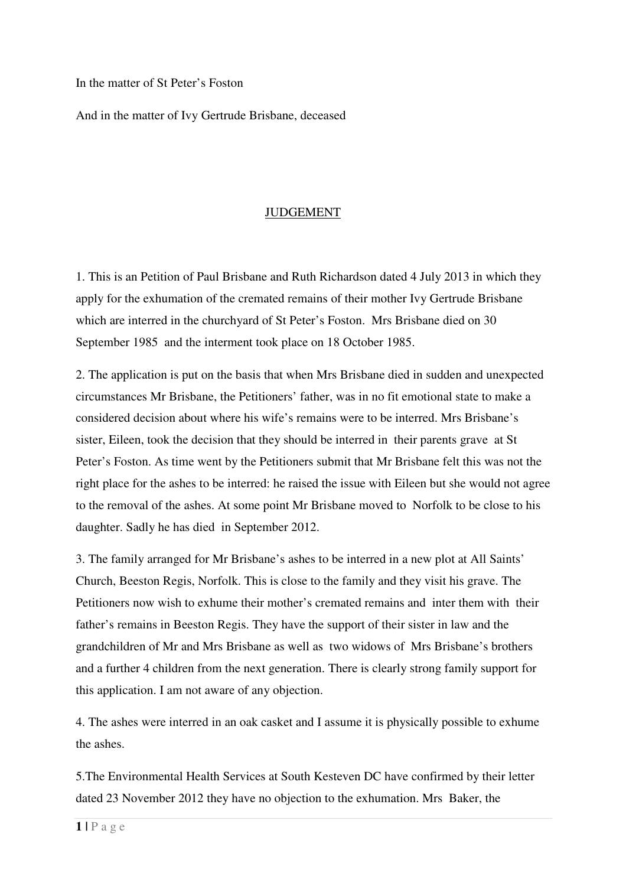In the matter of St Peter's Foston

And in the matter of Ivy Gertrude Brisbane, deceased

## JUDGEMENT

1. This is an Petition of Paul Brisbane and Ruth Richardson dated 4 July 2013 in which they apply for the exhumation of the cremated remains of their mother Ivy Gertrude Brisbane which are interred in the churchyard of St Peter's Foston. Mrs Brisbane died on 30 September 1985 and the interment took place on 18 October 1985.

2. The application is put on the basis that when Mrs Brisbane died in sudden and unexpected circumstances Mr Brisbane, the Petitioners' father, was in no fit emotional state to make a considered decision about where his wife's remains were to be interred. Mrs Brisbane's sister, Eileen, took the decision that they should be interred in their parents grave at St Peter's Foston. As time went by the Petitioners submit that Mr Brisbane felt this was not the right place for the ashes to be interred: he raised the issue with Eileen but she would not agree to the removal of the ashes. At some point Mr Brisbane moved to Norfolk to be close to his daughter. Sadly he has died in September 2012.

3. The family arranged for Mr Brisbane's ashes to be interred in a new plot at All Saints' Church, Beeston Regis, Norfolk. This is close to the family and they visit his grave. The Petitioners now wish to exhume their mother's cremated remains and inter them with their father's remains in Beeston Regis. They have the support of their sister in law and the grandchildren of Mr and Mrs Brisbane as well as two widows of Mrs Brisbane's brothers and a further 4 children from the next generation. There is clearly strong family support for this application. I am not aware of any objection.

4. The ashes were interred in an oak casket and I assume it is physically possible to exhume the ashes.

5.The Environmental Health Services at South Kesteven DC have confirmed by their letter dated 23 November 2012 they have no objection to the exhumation. Mrs Baker, the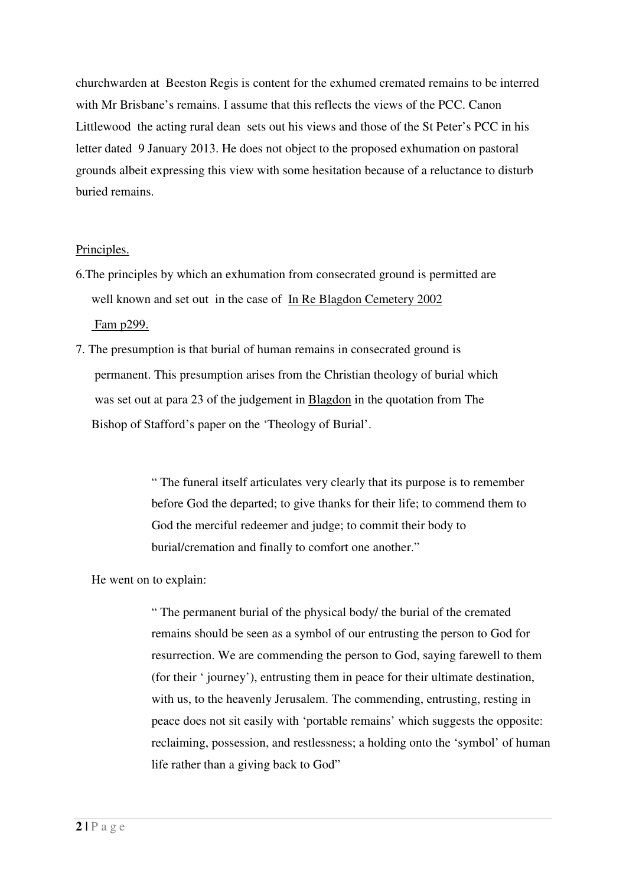churchwarden at Beeston Regis is content for the exhumed cremated remains to be interred with Mr Brisbane's remains. I assume that this reflects the views of the PCC. Canon Littlewood the acting rural dean sets out his views and those of the St Peter's PCC in his letter dated 9 January 2013. He does not object to the proposed exhumation on pastoral grounds albeit expressing this view with some hesitation because of a reluctance to disturb buried remains.

#### Principles.

- 6.The principles by which an exhumation from consecrated ground is permitted are well known and set out in the case of In Re Blagdon Cemetery 2002 Fam p299.
- 7. The presumption is that burial of human remains in consecrated ground is permanent. This presumption arises from the Christian theology of burial which was set out at para 23 of the judgement in Blagdon in the quotation from The Bishop of Stafford's paper on the 'Theology of Burial'.

" The funeral itself articulates very clearly that its purpose is to remember before God the departed; to give thanks for their life; to commend them to God the merciful redeemer and judge; to commit their body to burial/cremation and finally to comfort one another."

He went on to explain:

" The permanent burial of the physical body/ the burial of the cremated remains should be seen as a symbol of our entrusting the person to God for resurrection. We are commending the person to God, saying farewell to them (for their ' journey'), entrusting them in peace for their ultimate destination, with us, to the heavenly Jerusalem. The commending, entrusting, resting in peace does not sit easily with 'portable remains' which suggests the opposite: reclaiming, possession, and restlessness; a holding onto the 'symbol' of human life rather than a giving back to God"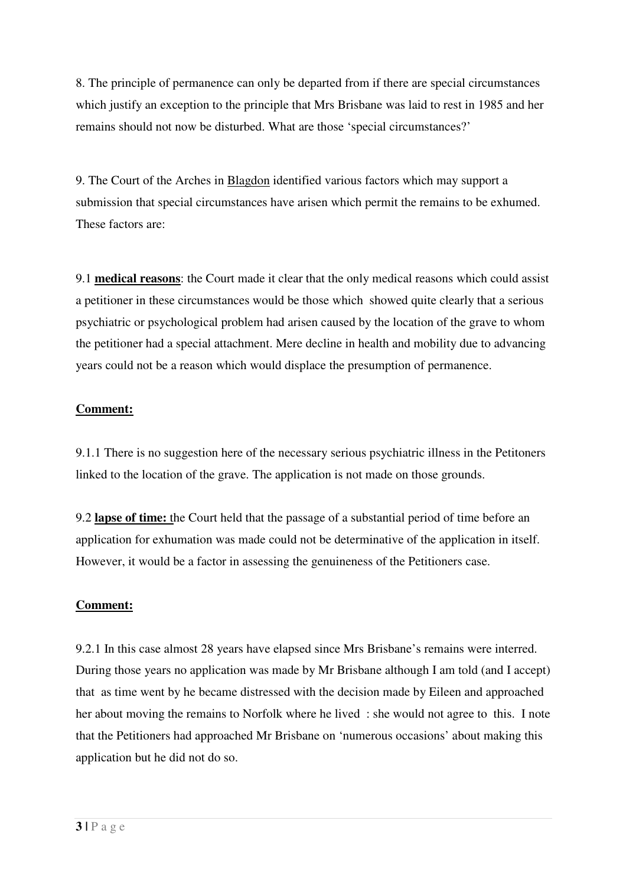8. The principle of permanence can only be departed from if there are special circumstances which justify an exception to the principle that Mrs Brisbane was laid to rest in 1985 and her remains should not now be disturbed. What are those 'special circumstances?'

9. The Court of the Arches in Blagdon identified various factors which may support a submission that special circumstances have arisen which permit the remains to be exhumed. These factors are:

9.1 **medical reasons**: the Court made it clear that the only medical reasons which could assist a petitioner in these circumstances would be those which showed quite clearly that a serious psychiatric or psychological problem had arisen caused by the location of the grave to whom the petitioner had a special attachment. Mere decline in health and mobility due to advancing years could not be a reason which would displace the presumption of permanence.

## **Comment:**

9.1.1 There is no suggestion here of the necessary serious psychiatric illness in the Petitoners linked to the location of the grave. The application is not made on those grounds.

9.2 **lapse of time:** the Court held that the passage of a substantial period of time before an application for exhumation was made could not be determinative of the application in itself. However, it would be a factor in assessing the genuineness of the Petitioners case.

# **Comment:**

9.2.1 In this case almost 28 years have elapsed since Mrs Brisbane's remains were interred. During those years no application was made by Mr Brisbane although I am told (and I accept) that as time went by he became distressed with the decision made by Eileen and approached her about moving the remains to Norfolk where he lived : she would not agree to this. I note that the Petitioners had approached Mr Brisbane on 'numerous occasions' about making this application but he did not do so.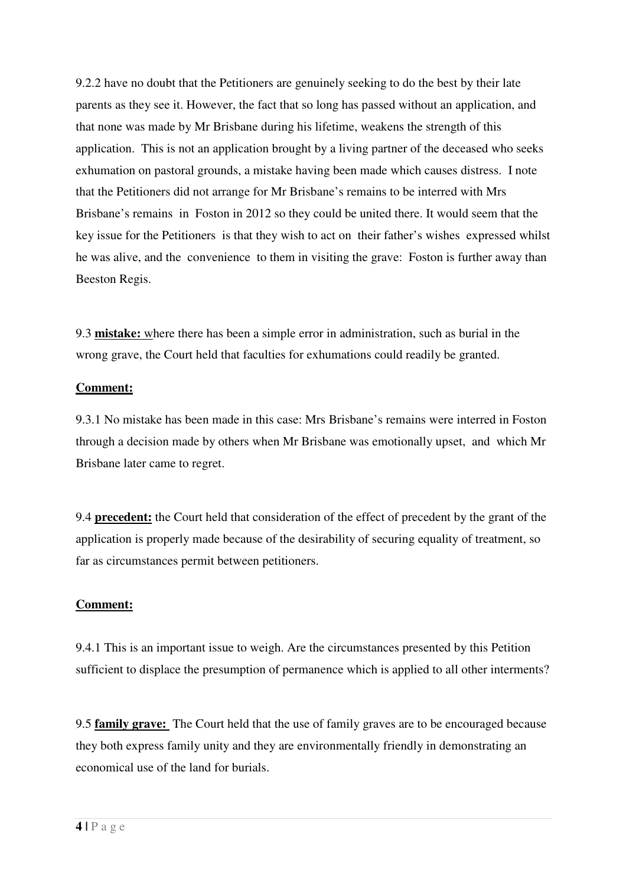9.2.2 have no doubt that the Petitioners are genuinely seeking to do the best by their late parents as they see it. However, the fact that so long has passed without an application, and that none was made by Mr Brisbane during his lifetime, weakens the strength of this application. This is not an application brought by a living partner of the deceased who seeks exhumation on pastoral grounds, a mistake having been made which causes distress. I note that the Petitioners did not arrange for Mr Brisbane's remains to be interred with Mrs Brisbane's remains in Foston in 2012 so they could be united there. It would seem that the key issue for the Petitioners is that they wish to act on their father's wishes expressed whilst he was alive, and the convenience to them in visiting the grave: Foston is further away than Beeston Regis.

9.3 **mistake:** where there has been a simple error in administration, such as burial in the wrong grave, the Court held that faculties for exhumations could readily be granted.

#### **Comment:**

9.3.1 No mistake has been made in this case: Mrs Brisbane's remains were interred in Foston through a decision made by others when Mr Brisbane was emotionally upset, and which Mr Brisbane later came to regret.

9.4 **precedent:** the Court held that consideration of the effect of precedent by the grant of the application is properly made because of the desirability of securing equality of treatment, so far as circumstances permit between petitioners.

## **Comment:**

9.4.1 This is an important issue to weigh. Are the circumstances presented by this Petition sufficient to displace the presumption of permanence which is applied to all other interments?

9.5 **family grave:** The Court held that the use of family graves are to be encouraged because they both express family unity and they are environmentally friendly in demonstrating an economical use of the land for burials.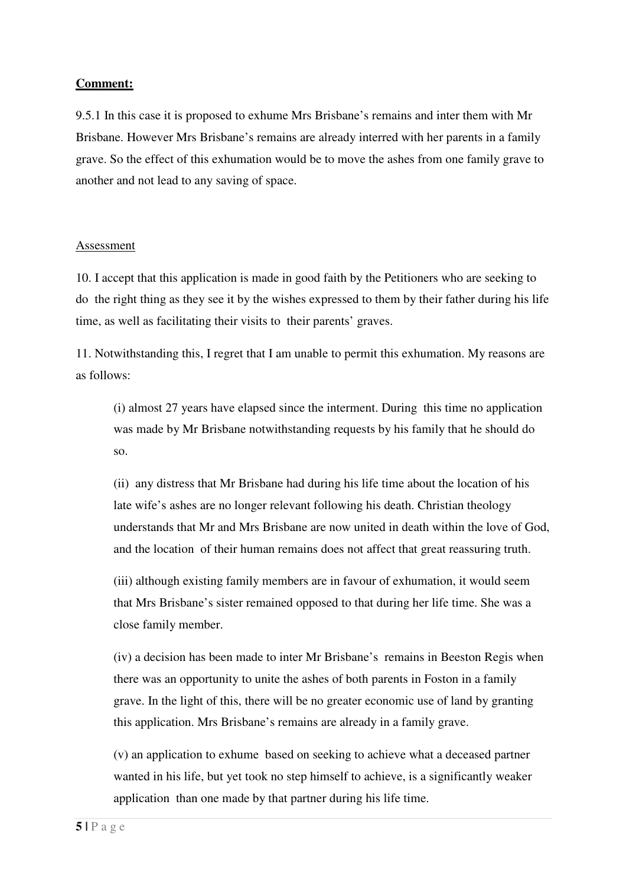## **Comment:**

9.5.1 In this case it is proposed to exhume Mrs Brisbane's remains and inter them with Mr Brisbane. However Mrs Brisbane's remains are already interred with her parents in a family grave. So the effect of this exhumation would be to move the ashes from one family grave to another and not lead to any saving of space.

#### Assessment

10. I accept that this application is made in good faith by the Petitioners who are seeking to do the right thing as they see it by the wishes expressed to them by their father during his life time, as well as facilitating their visits to their parents' graves.

11. Notwithstanding this, I regret that I am unable to permit this exhumation. My reasons are as follows:

(i) almost 27 years have elapsed since the interment. During this time no application was made by Mr Brisbane notwithstanding requests by his family that he should do so.

(ii) any distress that Mr Brisbane had during his life time about the location of his late wife's ashes are no longer relevant following his death. Christian theology understands that Mr and Mrs Brisbane are now united in death within the love of God, and the location of their human remains does not affect that great reassuring truth.

(iii) although existing family members are in favour of exhumation, it would seem that Mrs Brisbane's sister remained opposed to that during her life time. She was a close family member.

(iv) a decision has been made to inter Mr Brisbane's remains in Beeston Regis when there was an opportunity to unite the ashes of both parents in Foston in a family grave. In the light of this, there will be no greater economic use of land by granting this application. Mrs Brisbane's remains are already in a family grave.

(v) an application to exhume based on seeking to achieve what a deceased partner wanted in his life, but yet took no step himself to achieve, is a significantly weaker application than one made by that partner during his life time.